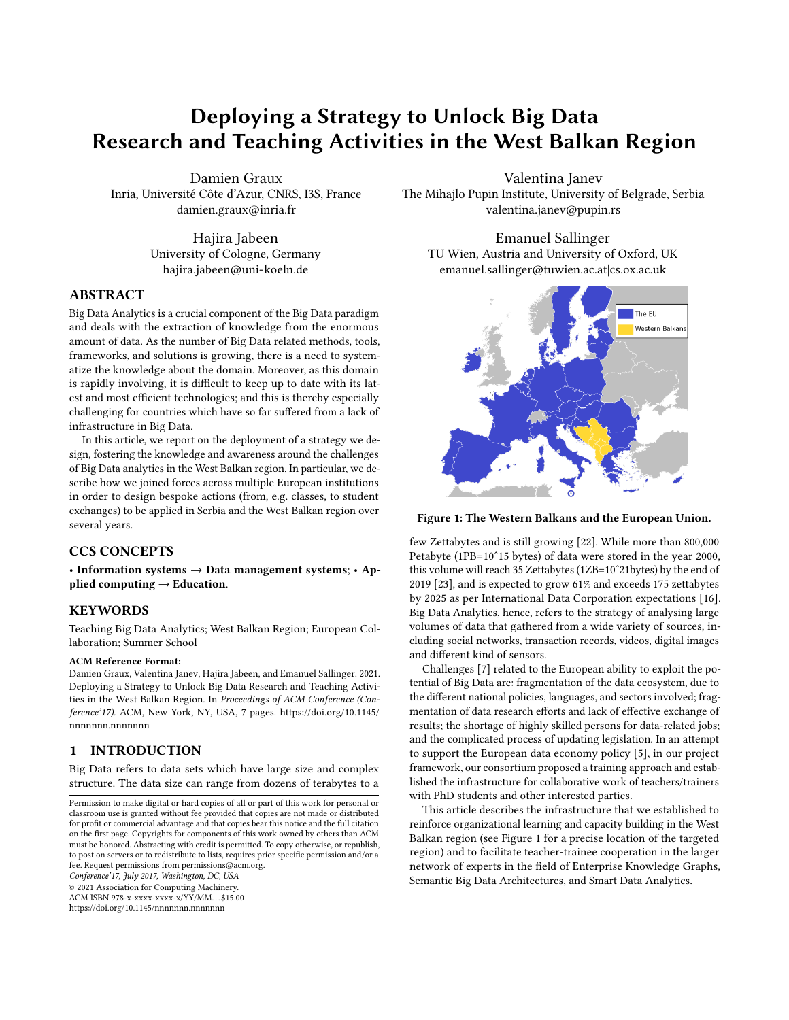# Deploying a Strategy to Unlock Big Data Research and Teaching Activities in the West Balkan Region

Damien Graux Inria, Université Côte d'Azur, CNRS, I3S, France damien.graux@inria.fr

> Hajira Jabeen University of Cologne, Germany hajira.jabeen@uni-koeln.de

#### ABSTRACT

Big Data Analytics is a crucial component of the Big Data paradigm and deals with the extraction of knowledge from the enormous amount of data. As the number of Big Data related methods, tools, frameworks, and solutions is growing, there is a need to systematize the knowledge about the domain. Moreover, as this domain is rapidly involving, it is difficult to keep up to date with its latest and most efficient technologies; and this is thereby especially challenging for countries which have so far suffered from a lack of infrastructure in Big Data.

In this article, we report on the deployment of a strategy we design, fostering the knowledge and awareness around the challenges of Big Data analytics in the West Balkan region. In particular, we describe how we joined forces across multiple European institutions in order to design bespoke actions (from, e.g. classes, to student exchanges) to be applied in Serbia and the West Balkan region over several years.

# CCS CONCEPTS

• Information systems  $\rightarrow$  Data management systems; • Applied computing  $\rightarrow$  Education.

# KEYWORDS

Teaching Big Data Analytics; West Balkan Region; European Collaboration; Summer School

# ACM Reference Format:

Damien Graux, Valentina Janev, Hajira Jabeen, and Emanuel Sallinger. 2021. Deploying a Strategy to Unlock Big Data Research and Teaching Activities in the West Balkan Region. In Proceedings of ACM Conference (Conference'17). ACM, New York, NY, USA, [7](#page-6-0) pages. [https://doi.org/10.1145/](https://doi.org/10.1145/nnnnnnn.nnnnnnn) [nnnnnnn.nnnnnnn](https://doi.org/10.1145/nnnnnnn.nnnnnnn)

## 1 INTRODUCTION

Big Data refers to data sets which have large size and complex structure. The data size can range from dozens of terabytes to a

Conference'17, July 2017, Washington, DC, USA

© 2021 Association for Computing Machinery.

ACM ISBN 978-x-xxxx-xxxx-x/YY/MM. . . \$15.00 <https://doi.org/10.1145/nnnnnnn.nnnnnnn>

Valentina Janev

The Mihajlo Pupin Institute, University of Belgrade, Serbia valentina.janev@pupin.rs

Emanuel Sallinger TU Wien, Austria and University of Oxford, UK emanuel.sallinger@tuwien.ac.at|cs.ox.ac.uk

<span id="page-0-0"></span>

Figure 1: The Western Balkans and the European Union.

few Zettabytes and is still growing [\[22\]](#page-6-1). While more than 800,000 Petabyte (1PB=10ˆ15 bytes) of data were stored in the year 2000, this volume will reach 35 Zettabytes (1ZB=10ˆ21bytes) by the end of 2019 [\[23\]](#page-6-2), and is expected to grow 61% and exceeds 175 zettabytes by 2025 as per International Data Corporation expectations [\[16\]](#page-6-3). Big Data Analytics, hence, refers to the strategy of analysing large volumes of data that gathered from a wide variety of sources, including social networks, transaction records, videos, digital images and different kind of sensors.

Challenges [\[7\]](#page-6-4) related to the European ability to exploit the potential of Big Data are: fragmentation of the data ecosystem, due to the different national policies, languages, and sectors involved; fragmentation of data research efforts and lack of effective exchange of results; the shortage of highly skilled persons for data-related jobs; and the complicated process of updating legislation. In an attempt to support the European data economy policy [\[5\]](#page-6-5), in our project framework, our consortium proposed a training approach and established the infrastructure for collaborative work of teachers/trainers with PhD students and other interested parties.

This article describes the infrastructure that we established to reinforce organizational learning and capacity building in the West Balkan region (see Figure [1](#page-0-0) for a precise location of the targeted region) and to facilitate teacher-trainee cooperation in the larger network of experts in the field of Enterprise Knowledge Graphs, Semantic Big Data Architectures, and Smart Data Analytics.

Permission to make digital or hard copies of all or part of this work for personal or classroom use is granted without fee provided that copies are not made or distributed for profit or commercial advantage and that copies bear this notice and the full citation on the first page. Copyrights for components of this work owned by others than ACM must be honored. Abstracting with credit is permitted. To copy otherwise, or republish, to post on servers or to redistribute to lists, requires prior specific permission and/or a fee. Request permissions from permissions@acm.org.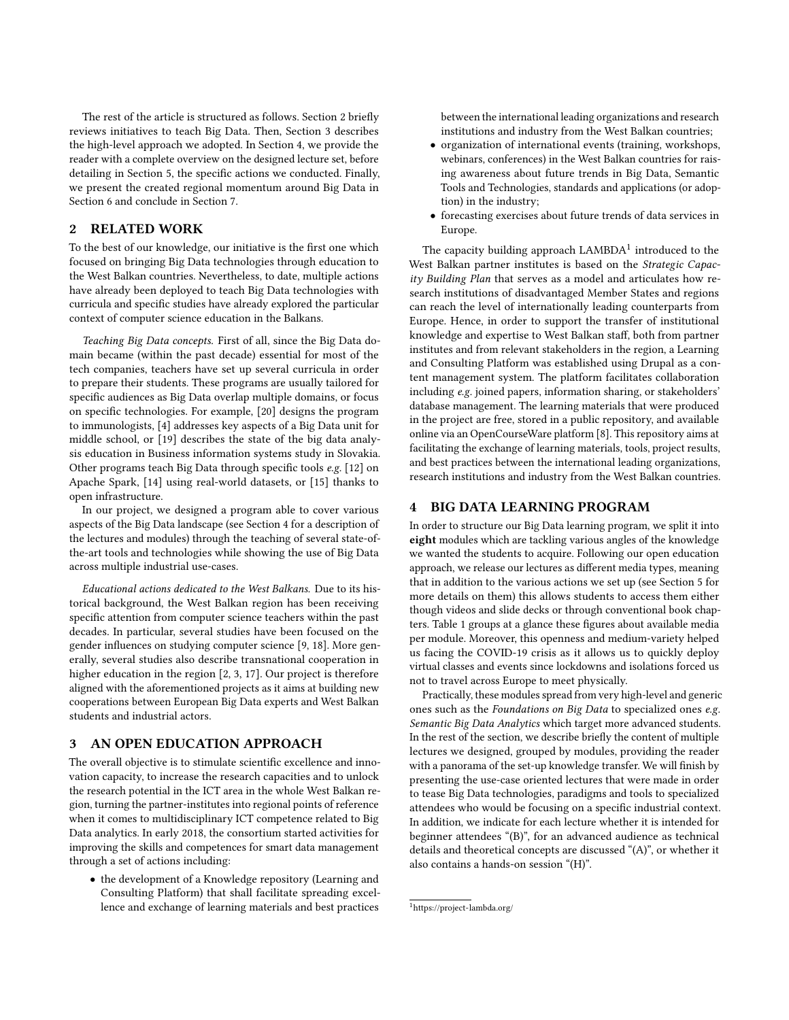The rest of the article is structured as follows. Section [2](#page-1-0) briefly reviews initiatives to teach Big Data. Then, Section [3](#page-1-1) describes the high-level approach we adopted. In Section [4,](#page-1-2) we provide the reader with a complete overview on the designed lecture set, before detailing in Section [5,](#page-4-0) the specific actions we conducted. Finally, we present the created regional momentum around Big Data in Section [6](#page-5-0) and conclude in Section [7.](#page-5-1)

# <span id="page-1-0"></span>2 RELATED WORK

To the best of our knowledge, our initiative is the first one which focused on bringing Big Data technologies through education to the West Balkan countries. Nevertheless, to date, multiple actions have already been deployed to teach Big Data technologies with curricula and specific studies have already explored the particular context of computer science education in the Balkans.

Teaching Big Data concepts. First of all, since the Big Data domain became (within the past decade) essential for most of the tech companies, teachers have set up several curricula in order to prepare their students. These programs are usually tailored for specific audiences as Big Data overlap multiple domains, or focus on specific technologies. For example, [\[20\]](#page-6-6) designs the program to immunologists, [\[4\]](#page-6-7) addresses key aspects of a Big Data unit for middle school, or [\[19\]](#page-6-8) describes the state of the big data analysis education in Business information systems study in Slovakia. Other programs teach Big Data through specific tools e.g. [\[12\]](#page-6-9) on Apache Spark, [\[14\]](#page-6-10) using real-world datasets, or [\[15\]](#page-6-11) thanks to open infrastructure.

In our project, we designed a program able to cover various aspects of the Big Data landscape (see Section [4](#page-1-2) for a description of the lectures and modules) through the teaching of several state-ofthe-art tools and technologies while showing the use of Big Data across multiple industrial use-cases.

Educational actions dedicated to the West Balkans. Due to its historical background, the West Balkan region has been receiving specific attention from computer science teachers within the past decades. In particular, several studies have been focused on the gender influences on studying computer science [\[9,](#page-6-12) [18\]](#page-6-13). More generally, several studies also describe transnational cooperation in higher education in the region [\[2,](#page-6-14) [3,](#page-6-15) [17\]](#page-6-16). Our project is therefore aligned with the aforementioned projects as it aims at building new cooperations between European Big Data experts and West Balkan students and industrial actors.

# <span id="page-1-1"></span>3 AN OPEN EDUCATION APPROACH

The overall objective is to stimulate scientific excellence and innovation capacity, to increase the research capacities and to unlock the research potential in the ICT area in the whole West Balkan region, turning the partner-institutes into regional points of reference when it comes to multidisciplinary ICT competence related to Big Data analytics. In early 2018, the consortium started activities for improving the skills and competences for smart data management through a set of actions including:

• the development of a Knowledge repository (Learning and Consulting Platform) that shall facilitate spreading excellence and exchange of learning materials and best practices

between the international leading organizations and research institutions and industry from the West Balkan countries;

- organization of international events (training, workshops, webinars, conferences) in the West Balkan countries for raising awareness about future trends in Big Data, Semantic Tools and Technologies, standards and applications (or adoption) in the industry;
- forecasting exercises about future trends of data services in Europe.

The capacity building approach  $\text{LAMBDA}^1$  $\text{LAMBDA}^1$  introduced to the West Balkan partner institutes is based on the Strategic Capacity Building Plan that serves as a model and articulates how research institutions of disadvantaged Member States and regions can reach the level of internationally leading counterparts from Europe. Hence, in order to support the transfer of institutional knowledge and expertise to West Balkan staff, both from partner institutes and from relevant stakeholders in the region, a Learning and Consulting Platform was established using Drupal as a content management system. The platform facilitates collaboration including e.g. joined papers, information sharing, or stakeholders' database management. The learning materials that were produced in the project are free, stored in a public repository, and available online via an OpenCourseWare platform [\[8\]](#page-6-17). This repository aims at facilitating the exchange of learning materials, tools, project results, and best practices between the international leading organizations, research institutions and industry from the West Balkan countries.

# <span id="page-1-2"></span>4 BIG DATA LEARNING PROGRAM

In order to structure our Big Data learning program, we split it into eight modules which are tackling various angles of the knowledge we wanted the students to acquire. Following our open education approach, we release our lectures as different media types, meaning that in addition to the various actions we set up (see Section [5](#page-4-0) for more details on them) this allows students to access them either though videos and slide decks or through conventional book chapters. Table [1](#page-2-0) groups at a glance these figures about available media per module. Moreover, this openness and medium-variety helped us facing the COVID-19 crisis as it allows us to quickly deploy virtual classes and events since lockdowns and isolations forced us not to travel across Europe to meet physically.

Practically, these modules spread from very high-level and generic ones such as the Foundations on Big Data to specialized ones e.g. Semantic Big Data Analytics which target more advanced students. In the rest of the section, we describe briefly the content of multiple lectures we designed, grouped by modules, providing the reader with a panorama of the set-up knowledge transfer. We will finish by presenting the use-case oriented lectures that were made in order to tease Big Data technologies, paradigms and tools to specialized attendees who would be focusing on a specific industrial context. In addition, we indicate for each lecture whether it is intended for beginner attendees "(B)", for an advanced audience as technical details and theoretical concepts are discussed "(A)", or whether it also contains a hands-on session "(H)".

<span id="page-1-3"></span><sup>1</sup><https://project-lambda.org/>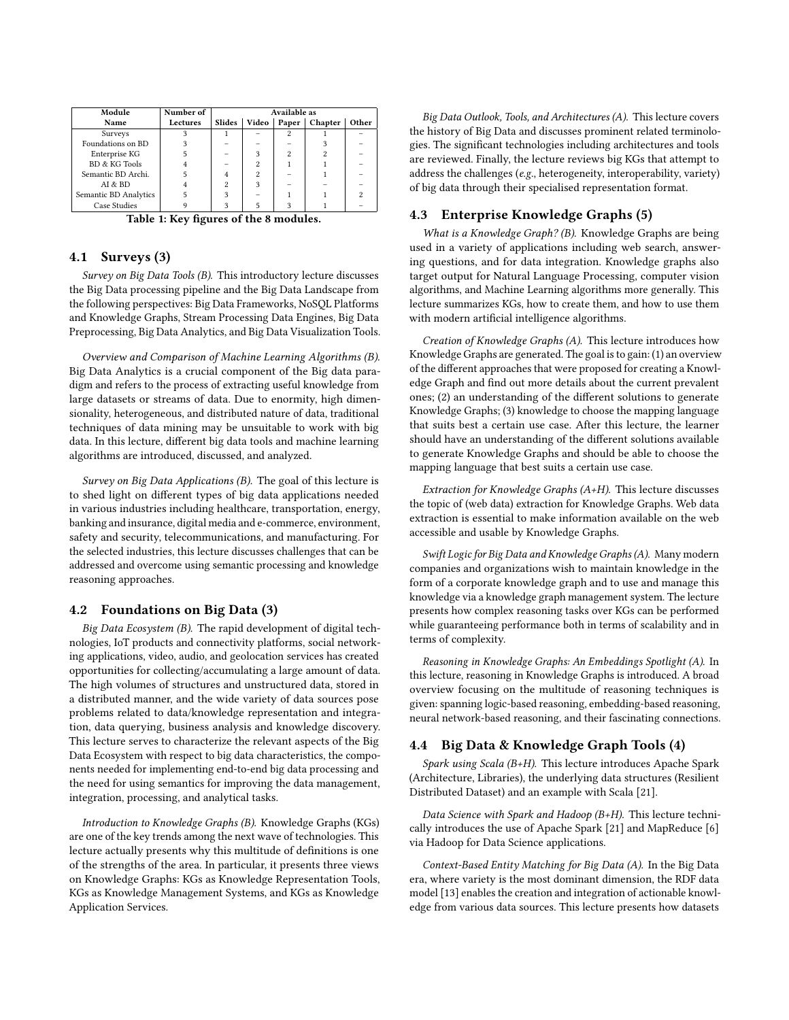<span id="page-2-0"></span>

| Module                | Number of | Available as |                |                |         |       |
|-----------------------|-----------|--------------|----------------|----------------|---------|-------|
| Name                  | Lectures  | Slides       | Video          | Paper          | Chapter | Other |
| Surveys               |           |              |                | 2              |         |       |
| Foundations on BD     |           |              |                |                |         |       |
| Enterprise KG         |           |              | 3              | $\overline{c}$ |         |       |
| BD & KG Tools         |           |              | 2              |                |         |       |
| Semantic BD Archi.    | 5         |              | $\overline{c}$ |                |         |       |
| AI & BD               |           | 2            | 3              |                |         |       |
| Semantic BD Analytics |           | 3            |                |                |         |       |
| Case Studies          |           |              |                |                |         |       |

Table 1: Key figures of the 8 modules.

#### 4.1 Surveys (3)

Survey on Big Data Tools (B). This introductory lecture discusses the Big Data processing pipeline and the Big Data Landscape from the following perspectives: Big Data Frameworks, NoSQL Platforms and Knowledge Graphs, Stream Processing Data Engines, Big Data Preprocessing, Big Data Analytics, and Big Data Visualization Tools.

Overview and Comparison of Machine Learning Algorithms (B). Big Data Analytics is a crucial component of the Big data paradigm and refers to the process of extracting useful knowledge from large datasets or streams of data. Due to enormity, high dimensionality, heterogeneous, and distributed nature of data, traditional techniques of data mining may be unsuitable to work with big data. In this lecture, different big data tools and machine learning algorithms are introduced, discussed, and analyzed.

Survey on Big Data Applications (B). The goal of this lecture is to shed light on different types of big data applications needed in various industries including healthcare, transportation, energy, banking and insurance, digital media and e-commerce, environment, safety and security, telecommunications, and manufacturing. For the selected industries, this lecture discusses challenges that can be addressed and overcome using semantic processing and knowledge reasoning approaches.

## 4.2 Foundations on Big Data (3)

Big Data Ecosystem (B). The rapid development of digital technologies, IoT products and connectivity platforms, social networking applications, video, audio, and geolocation services has created opportunities for collecting/accumulating a large amount of data. The high volumes of structures and unstructured data, stored in a distributed manner, and the wide variety of data sources pose problems related to data/knowledge representation and integration, data querying, business analysis and knowledge discovery. This lecture serves to characterize the relevant aspects of the Big Data Ecosystem with respect to big data characteristics, the components needed for implementing end-to-end big data processing and the need for using semantics for improving the data management, integration, processing, and analytical tasks.

Introduction to Knowledge Graphs (B). Knowledge Graphs (KGs) are one of the key trends among the next wave of technologies. This lecture actually presents why this multitude of definitions is one of the strengths of the area. In particular, it presents three views on Knowledge Graphs: KGs as Knowledge Representation Tools, KGs as Knowledge Management Systems, and KGs as Knowledge Application Services.

Big Data Outlook, Tools, and Architectures (A). This lecture covers the history of Big Data and discusses prominent related terminologies. The significant technologies including architectures and tools are reviewed. Finally, the lecture reviews big KGs that attempt to address the challenges (e.g., heterogeneity, interoperability, variety) of big data through their specialised representation format.

# 4.3 Enterprise Knowledge Graphs (5)

What is a Knowledge Graph? (B). Knowledge Graphs are being used in a variety of applications including web search, answering questions, and for data integration. Knowledge graphs also target output for Natural Language Processing, computer vision algorithms, and Machine Learning algorithms more generally. This lecture summarizes KGs, how to create them, and how to use them with modern artificial intelligence algorithms.

Creation of Knowledge Graphs (A). This lecture introduces how Knowledge Graphs are generated. The goal is to gain: (1) an overview of the different approaches that were proposed for creating a Knowledge Graph and find out more details about the current prevalent ones; (2) an understanding of the different solutions to generate Knowledge Graphs; (3) knowledge to choose the mapping language that suits best a certain use case. After this lecture, the learner should have an understanding of the different solutions available to generate Knowledge Graphs and should be able to choose the mapping language that best suits a certain use case.

Extraction for Knowledge Graphs (A+H). This lecture discusses the topic of (web data) extraction for Knowledge Graphs. Web data extraction is essential to make information available on the web accessible and usable by Knowledge Graphs.

Swift Logic for Big Data and Knowledge Graphs (A). Many modern companies and organizations wish to maintain knowledge in the form of a corporate knowledge graph and to use and manage this knowledge via a knowledge graph management system. The lecture presents how complex reasoning tasks over KGs can be performed while guaranteeing performance both in terms of scalability and in terms of complexity.

Reasoning in Knowledge Graphs: An Embeddings Spotlight (A). In this lecture, reasoning in Knowledge Graphs is introduced. A broad overview focusing on the multitude of reasoning techniques is given: spanning logic-based reasoning, embedding-based reasoning, neural network-based reasoning, and their fascinating connections.

# 4.4 Big Data & Knowledge Graph Tools (4)

Spark using Scala (B+H). This lecture introduces Apache Spark (Architecture, Libraries), the underlying data structures (Resilient Distributed Dataset) and an example with Scala [\[21\]](#page-6-18).

Data Science with Spark and Hadoop (B+H). This lecture technically introduces the use of Apache Spark [\[21\]](#page-6-18) and MapReduce [\[6\]](#page-6-19) via Hadoop for Data Science applications.

Context-Based Entity Matching for Big Data (A). In the Big Data era, where variety is the most dominant dimension, the RDF data model [\[13\]](#page-6-20) enables the creation and integration of actionable knowledge from various data sources. This lecture presents how datasets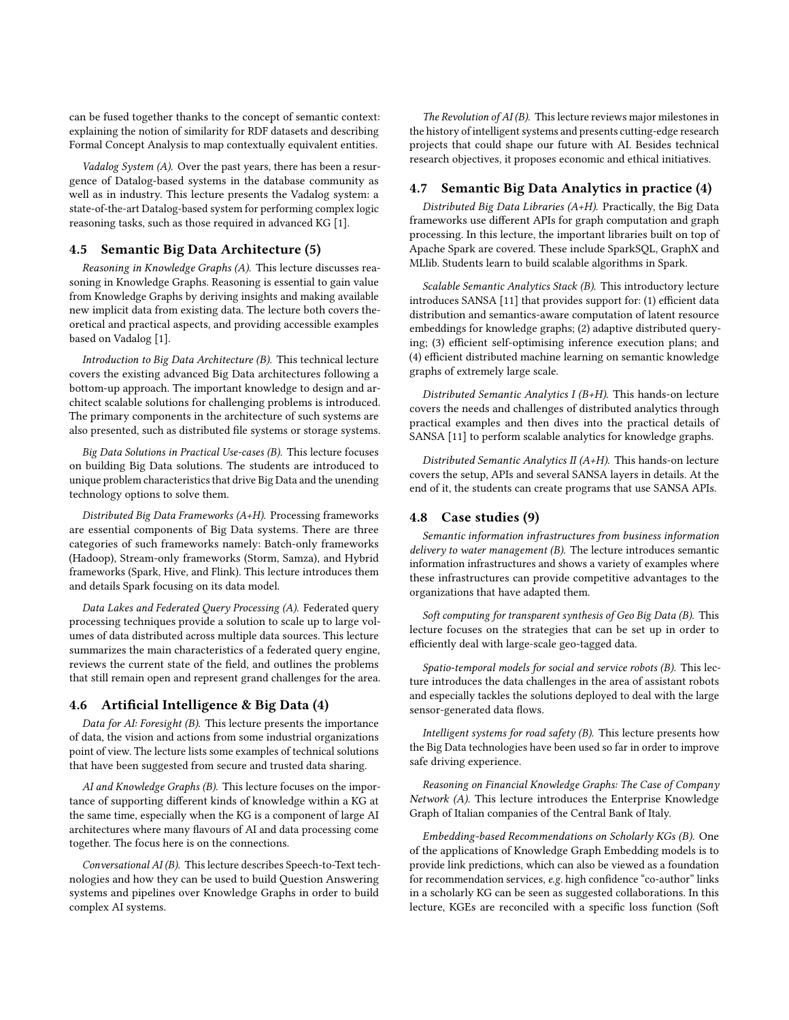can be fused together thanks to the concept of semantic context: explaining the notion of similarity for RDF datasets and describing Formal Concept Analysis to map contextually equivalent entities.

Vadalog System (A). Over the past years, there has been a resurgence of Datalog-based systems in the database community as well as in industry. This lecture presents the Vadalog system: a state-of-the-art Datalog-based system for performing complex logic reasoning tasks, such as those required in advanced KG [\[1\]](#page-6-21).

#### 4.5 Semantic Big Data Architecture (5)

Reasoning in Knowledge Graphs (A). This lecture discusses reasoning in Knowledge Graphs. Reasoning is essential to gain value from Knowledge Graphs by deriving insights and making available new implicit data from existing data. The lecture both covers theoretical and practical aspects, and providing accessible examples based on Vadalog [\[1\]](#page-6-21).

Introduction to Big Data Architecture (B). This technical lecture covers the existing advanced Big Data architectures following a bottom-up approach. The important knowledge to design and architect scalable solutions for challenging problems is introduced. The primary components in the architecture of such systems are also presented, such as distributed file systems or storage systems.

Big Data Solutions in Practical Use-cases (B). This lecture focuses on building Big Data solutions. The students are introduced to unique problem characteristics that drive Big Data and the unending technology options to solve them.

Distributed Big Data Frameworks (A+H). Processing frameworks are essential components of Big Data systems. There are three categories of such frameworks namely: Batch-only frameworks (Hadoop), Stream-only frameworks (Storm, Samza), and Hybrid frameworks (Spark, Hive, and Flink). This lecture introduces them and details Spark focusing on its data model.

Data Lakes and Federated Query Processing (A). Federated query processing techniques provide a solution to scale up to large volumes of data distributed across multiple data sources. This lecture summarizes the main characteristics of a federated query engine, reviews the current state of the field, and outlines the problems that still remain open and represent grand challenges for the area.

## 4.6 Artificial Intelligence & Big Data (4)

Data for AI: Foresight (B). This lecture presents the importance of data, the vision and actions from some industrial organizations point of view. The lecture lists some examples of technical solutions that have been suggested from secure and trusted data sharing.

AI and Knowledge Graphs (B). This lecture focuses on the importance of supporting different kinds of knowledge within a KG at the same time, especially when the KG is a component of large AI architectures where many flavours of AI and data processing come together. The focus here is on the connections.

Conversational AI (B). This lecture describes Speech-to-Text technologies and how they can be used to build Question Answering systems and pipelines over Knowledge Graphs in order to build complex AI systems.

The Revolution of AI (B). This lecture reviews major milestones in the history of intelligent systems and presents cutting-edge research projects that could shape our future with AI. Besides technical research objectives, it proposes economic and ethical initiatives.

#### 4.7 Semantic Big Data Analytics in practice (4)

Distributed Big Data Libraries (A+H). Practically, the Big Data frameworks use different APIs for graph computation and graph processing. In this lecture, the important libraries built on top of Apache Spark are covered. These include SparkSQL, GraphX and MLlib. Students learn to build scalable algorithms in Spark.

Scalable Semantic Analytics Stack (B). This introductory lecture introduces SANSA [\[11\]](#page-6-22) that provides support for: (1) efficient data distribution and semantics-aware computation of latent resource embeddings for knowledge graphs; (2) adaptive distributed querying; (3) efficient self-optimising inference execution plans; and (4) efficient distributed machine learning on semantic knowledge graphs of extremely large scale.

Distributed Semantic Analytics I (B+H). This hands-on lecture covers the needs and challenges of distributed analytics through practical examples and then dives into the practical details of SANSA [\[11\]](#page-6-22) to perform scalable analytics for knowledge graphs.

Distributed Semantic Analytics II (A+H). This hands-on lecture covers the setup, APIs and several SANSA layers in details. At the end of it, the students can create programs that use SANSA APIs.

#### 4.8 Case studies (9)

Semantic information infrastructures from business information delivery to water management (B). The lecture introduces semantic information infrastructures and shows a variety of examples where these infrastructures can provide competitive advantages to the organizations that have adapted them.

Soft computing for transparent synthesis of Geo Big Data (B). This lecture focuses on the strategies that can be set up in order to efficiently deal with large-scale geo-tagged data.

Spatio-temporal models for social and service robots (B). This lecture introduces the data challenges in the area of assistant robots and especially tackles the solutions deployed to deal with the large sensor-generated data flows.

Intelligent systems for road safety (B). This lecture presents how the Big Data technologies have been used so far in order to improve safe driving experience.

Reasoning on Financial Knowledge Graphs: The Case of Company Network (A). This lecture introduces the Enterprise Knowledge Graph of Italian companies of the Central Bank of Italy.

Embedding-based Recommendations on Scholarly KGs (B). One of the applications of Knowledge Graph Embedding models is to provide link predictions, which can also be viewed as a foundation for recommendation services, e.g. high confidence "co-author" links in a scholarly KG can be seen as suggested collaborations. In this lecture, KGEs are reconciled with a specific loss function (Soft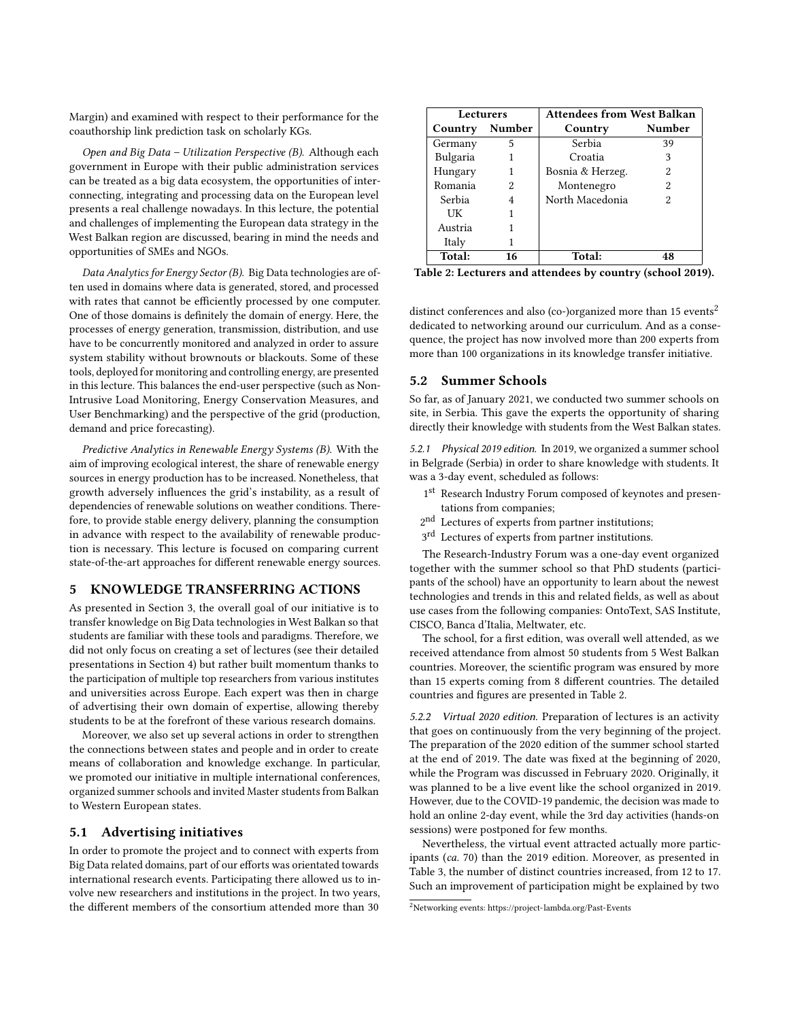Margin) and examined with respect to their performance for the coauthorship link prediction task on scholarly KGs.

Open and Big Data – Utilization Perspective (B). Although each government in Europe with their public administration services can be treated as a big data ecosystem, the opportunities of interconnecting, integrating and processing data on the European level presents a real challenge nowadays. In this lecture, the potential and challenges of implementing the European data strategy in the West Balkan region are discussed, bearing in mind the needs and opportunities of SMEs and NGOs.

Data Analytics for Energy Sector (B). Big Data technologies are often used in domains where data is generated, stored, and processed with rates that cannot be efficiently processed by one computer. One of those domains is definitely the domain of energy. Here, the processes of energy generation, transmission, distribution, and use have to be concurrently monitored and analyzed in order to assure system stability without brownouts or blackouts. Some of these tools, deployed for monitoring and controlling energy, are presented in this lecture. This balances the end-user perspective (such as Non-Intrusive Load Monitoring, Energy Conservation Measures, and User Benchmarking) and the perspective of the grid (production, demand and price forecasting).

Predictive Analytics in Renewable Energy Systems (B). With the aim of improving ecological interest, the share of renewable energy sources in energy production has to be increased. Nonetheless, that growth adversely influences the grid's instability, as a result of dependencies of renewable solutions on weather conditions. Therefore, to provide stable energy delivery, planning the consumption in advance with respect to the availability of renewable production is necessary. This lecture is focused on comparing current state-of-the-art approaches for different renewable energy sources.

## <span id="page-4-0"></span>5 KNOWLEDGE TRANSFERRING ACTIONS

As presented in Section [3,](#page-1-1) the overall goal of our initiative is to transfer knowledge on Big Data technologies in West Balkan so that students are familiar with these tools and paradigms. Therefore, we did not only focus on creating a set of lectures (see their detailed presentations in Section [4\)](#page-1-2) but rather built momentum thanks to the participation of multiple top researchers from various institutes and universities across Europe. Each expert was then in charge of advertising their own domain of expertise, allowing thereby students to be at the forefront of these various research domains.

Moreover, we also set up several actions in order to strengthen the connections between states and people and in order to create means of collaboration and knowledge exchange. In particular, we promoted our initiative in multiple international conferences, organized summer schools and invited Master students from Balkan to Western European states.

#### 5.1 Advertising initiatives

In order to promote the project and to connect with experts from Big Data related domains, part of our efforts was orientated towards international research events. Participating there allowed us to involve new researchers and institutions in the project. In two years, the different members of the consortium attended more than 30

<span id="page-4-2"></span>

| <b>Lecturers</b> |    | <b>Attendees from West Balkan</b> |               |  |
|------------------|----|-----------------------------------|---------------|--|
| Country Number   |    | Country                           | <b>Number</b> |  |
| Germany          | 5  | Serbia                            | 39            |  |
| Bulgaria         |    | Croatia                           | 3             |  |
| Hungary          | 1  | Bosnia & Herzeg.                  | 2             |  |
| Romania          | 2. | Montenegro                        | 2             |  |
| Serbia           | 4  | North Macedonia                   | 2             |  |
| UК               |    |                                   |               |  |
| Austria          |    |                                   |               |  |
| Italy            |    |                                   |               |  |
| Total:           | 16 | Total:                            | 48            |  |

Table 2: Lecturers and attendees by country (school 2019).

distinct conferences and also (co-)organized more than 15 events<sup>[2](#page-4-1)</sup> dedicated to networking around our curriculum. And as a consequence, the project has now involved more than 200 experts from more than 100 organizations in its knowledge transfer initiative.

# 5.2 Summer Schools

So far, as of January 2021, we conducted two summer schools on site, in Serbia. This gave the experts the opportunity of sharing directly their knowledge with students from the West Balkan states.

5.2.1 Physical 2019 edition. In 2019, we organized a summer school in Belgrade (Serbia) in order to share knowledge with students. It was a 3-day event, scheduled as follows:

- 1st Research Industry Forum composed of keynotes and presentations from companies;
- 2<sup>nd</sup> Lectures of experts from partner institutions;
- 3<sup>rd</sup> Lectures of experts from partner institutions.

The Research-Industry Forum was a one-day event organized together with the summer school so that PhD students (participants of the school) have an opportunity to learn about the newest technologies and trends in this and related fields, as well as about use cases from the following companies: OntoText, SAS Institute, CISCO, Banca d'Italia, Meltwater, etc.

The school, for a first edition, was overall well attended, as we received attendance from almost 50 students from 5 West Balkan countries. Moreover, the scientific program was ensured by more than 15 experts coming from 8 different countries. The detailed countries and figures are presented in Table [2.](#page-4-2)

5.2.2 Virtual 2020 edition. Preparation of lectures is an activity that goes on continuously from the very beginning of the project. The preparation of the 2020 edition of the summer school started at the end of 2019. The date was fixed at the beginning of 2020, while the Program was discussed in February 2020. Originally, it was planned to be a live event like the school organized in 2019. However, due to the COVID-19 pandemic, the decision was made to hold an online 2-day event, while the 3rd day activities (hands-on sessions) were postponed for few months.

Nevertheless, the virtual event attracted actually more participants (ca. 70) than the 2019 edition. Moreover, as presented in Table [3,](#page-5-2) the number of distinct countries increased, from 12 to 17. Such an improvement of participation might be explained by two

<span id="page-4-1"></span><sup>2</sup>Networking events:<https://project-lambda.org/Past-Events>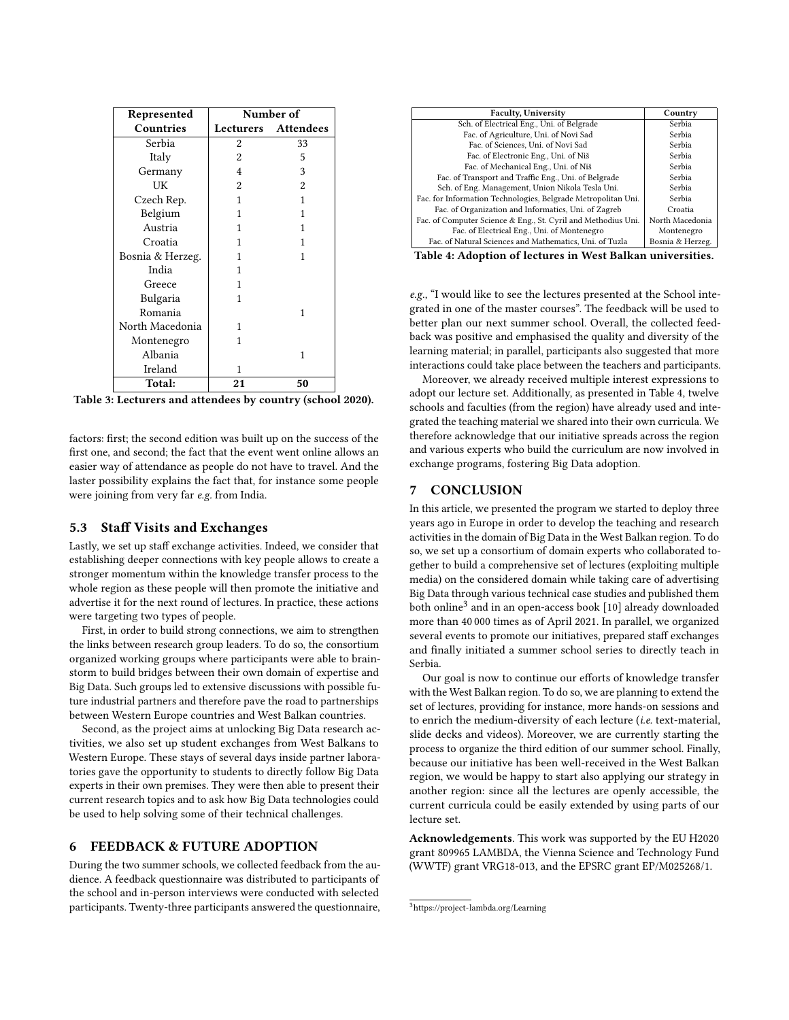<span id="page-5-2"></span>

| Represented      | Number of |                     |  |
|------------------|-----------|---------------------|--|
| Countries        |           | Lecturers Attendees |  |
| Serbia           | 2         | 33                  |  |
| Italy            | 2         | 5                   |  |
| Germany          | 4         | 3                   |  |
| UK               | 2         | 2                   |  |
| Czech Rep.       | 1         | 1                   |  |
| Belgium          | 1         | 1                   |  |
| Austria          | 1         | 1                   |  |
| Croatia          | 1         | 1                   |  |
| Bosnia & Herzeg. | 1         | 1                   |  |
| India            | 1         |                     |  |
| Greece           | 1         |                     |  |
| Bulgaria         | 1         |                     |  |
| Romania          |           | 1                   |  |
| North Macedonia  | 1         |                     |  |
| Montenegro       | 1         |                     |  |
| Albania          |           | 1                   |  |
| Ireland          | 1         |                     |  |
| Total:           | 21        | 50                  |  |

Table 3: Lecturers and attendees by country (school 2020).

factors: first; the second edition was built up on the success of the first one, and second; the fact that the event went online allows an easier way of attendance as people do not have to travel. And the laster possibility explains the fact that, for instance some people were joining from very far e.g. from India.

#### 5.3 Staff Visits and Exchanges

Lastly, we set up staff exchange activities. Indeed, we consider that establishing deeper connections with key people allows to create a stronger momentum within the knowledge transfer process to the whole region as these people will then promote the initiative and advertise it for the next round of lectures. In practice, these actions were targeting two types of people.

First, in order to build strong connections, we aim to strengthen the links between research group leaders. To do so, the consortium organized working groups where participants were able to brainstorm to build bridges between their own domain of expertise and Big Data. Such groups led to extensive discussions with possible future industrial partners and therefore pave the road to partnerships between Western Europe countries and West Balkan countries.

Second, as the project aims at unlocking Big Data research activities, we also set up student exchanges from West Balkans to Western Europe. These stays of several days inside partner laboratories gave the opportunity to students to directly follow Big Data experts in their own premises. They were then able to present their current research topics and to ask how Big Data technologies could be used to help solving some of their technical challenges.

## <span id="page-5-0"></span>6 FEEDBACK & FUTURE ADOPTION

During the two summer schools, we collected feedback from the audience. A feedback questionnaire was distributed to participants of the school and in-person interviews were conducted with selected participants. Twenty-three participants answered the questionnaire,

<span id="page-5-3"></span>

| <b>Faculty, University</b>                                    | Country          |
|---------------------------------------------------------------|------------------|
| Sch. of Electrical Eng., Uni. of Belgrade                     | Serbia           |
| Fac. of Agriculture, Uni. of Novi Sad                         | Serbia           |
| Fac. of Sciences, Uni. of Novi Sad                            | Serbia           |
| Fac. of Electronic Eng., Uni. of Niš                          | Serbia           |
| Fac. of Mechanical Eng., Uni. of Niš                          | Serbia           |
| Fac. of Transport and Traffic Eng., Uni. of Belgrade          | Serbia           |
| Sch. of Eng. Management, Union Nikola Tesla Uni.              | Serbia           |
| Fac. for Information Technologies, Belgrade Metropolitan Uni. | Serbia           |
| Fac. of Organization and Informatics, Uni. of Zagreb          | Croatia          |
| Fac. of Computer Science & Eng., St. Cyril and Methodius Uni. | North Macedonia  |
| Fac. of Electrical Eng., Uni. of Montenegro                   | Montenegro       |
| Fac. of Natural Sciences and Mathematics, Uni. of Tuzla       | Bosnia & Herzeg. |
| $\mathbf{r}$ $\mathbf{r}$                                     |                  |

Table 4: Adoption of lectures in West Balkan universities.

e.g., "I would like to see the lectures presented at the School integrated in one of the master courses". The feedback will be used to better plan our next summer school. Overall, the collected feedback was positive and emphasised the quality and diversity of the learning material; in parallel, participants also suggested that more interactions could take place between the teachers and participants.

Moreover, we already received multiple interest expressions to adopt our lecture set. Additionally, as presented in Table [4,](#page-5-3) twelve schools and faculties (from the region) have already used and integrated the teaching material we shared into their own curricula. We therefore acknowledge that our initiative spreads across the region and various experts who build the curriculum are now involved in exchange programs, fostering Big Data adoption.

## <span id="page-5-1"></span>7 CONCLUSION

In this article, we presented the program we started to deploy three years ago in Europe in order to develop the teaching and research activities in the domain of Big Data in the West Balkan region. To do so, we set up a consortium of domain experts who collaborated together to build a comprehensive set of lectures (exploiting multiple media) on the considered domain while taking care of advertising Big Data through various technical case studies and published them both online $^3$  $^3$  and in an open-access book  $\left[ 10\right]$  already downloaded more than 40 000 times as of April 2021. In parallel, we organized several events to promote our initiatives, prepared staff exchanges and finally initiated a summer school series to directly teach in Serbia.

Our goal is now to continue our efforts of knowledge transfer with the West Balkan region. To do so, we are planning to extend the set of lectures, providing for instance, more hands-on sessions and to enrich the medium-diversity of each lecture (i.e. text-material, slide decks and videos). Moreover, we are currently starting the process to organize the third edition of our summer school. Finally, because our initiative has been well-received in the West Balkan region, we would be happy to start also applying our strategy in another region: since all the lectures are openly accessible, the current curricula could be easily extended by using parts of our lecture set.

Acknowledgements. This work was supported by the EU H2020 grant 809965 LAMBDA, the Vienna Science and Technology Fund (WWTF) grant VRG18-013, and the EPSRC grant EP/M025268/1.

<span id="page-5-4"></span><sup>3</sup><https://project-lambda.org/Learning>